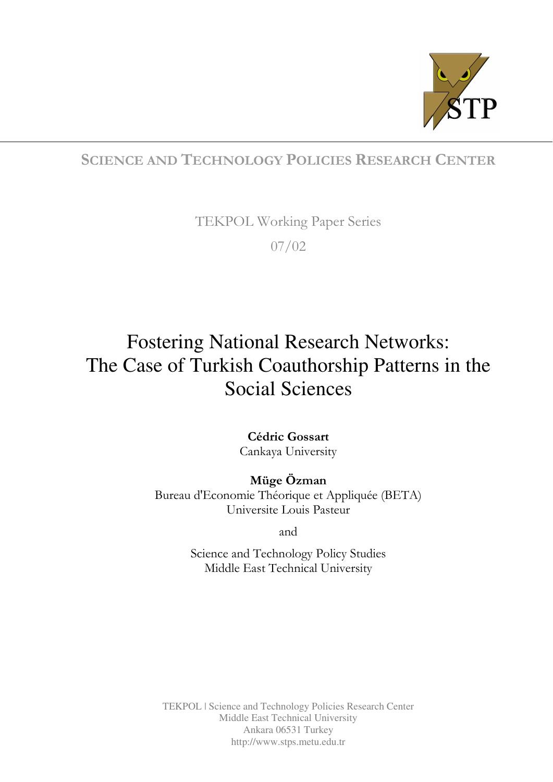

# SCIENCE AND TECHNOLOGY POLICIES RESEARCH CENTER

TEKPOL Working Paper Series 07/02

# Fostering National Research Networks: The Case of Turkish Coauthorship Patterns in the Social Sciences

Cédric Gossart Cankaya University

Müge Özman Bureau d'Economie Théorique et Appliquée (BETA) Universite Louis Pasteur

and

Science and Technology Policy Studies Middle East Technical University

TEKPOL | Science and Technology Policies Research Center Middle East Technical University Ankara 06531 Turkey http://www.stps.metu.edu.tr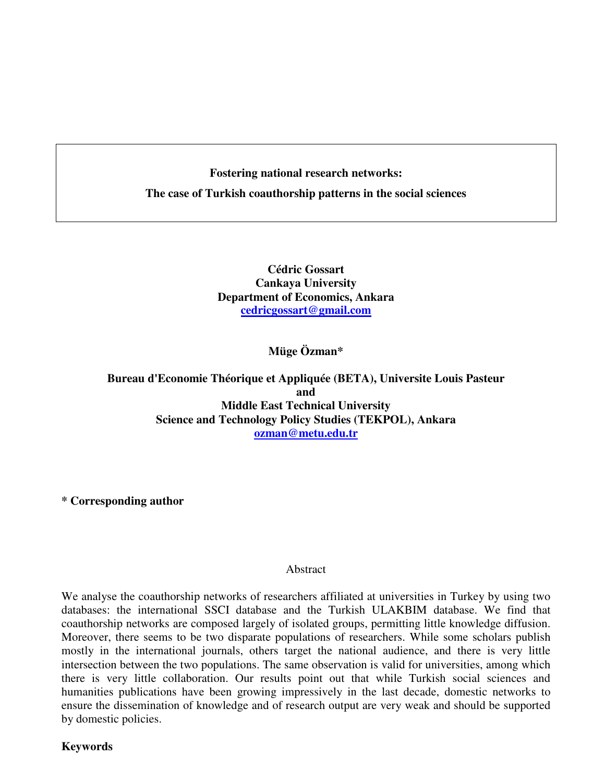# **Fostering national research networks: The case of Turkish coauthorship patterns in the social sciences**

**Cédric Gossart Cankaya University Department of Economics, Ankara cedricgossart@gmail.com** 

**Müge Özman\*** 

**Bureau d'Economie Théorique et Appliquée (BETA), Universite Louis Pasteur and Middle East Technical University Science and Technology Policy Studies (TEKPOL), Ankara ozman@metu.edu.tr** 

**\* Corresponding author** 

#### Abstract

We analyse the coauthorship networks of researchers affiliated at universities in Turkey by using two databases: the international SSCI database and the Turkish ULAKBIM database. We find that coauthorship networks are composed largely of isolated groups, permitting little knowledge diffusion. Moreover, there seems to be two disparate populations of researchers. While some scholars publish mostly in the international journals, others target the national audience, and there is very little intersection between the two populations. The same observation is valid for universities, among which there is very little collaboration. Our results point out that while Turkish social sciences and humanities publications have been growing impressively in the last decade, domestic networks to ensure the dissemination of knowledge and of research output are very weak and should be supported by domestic policies.

**Keywords**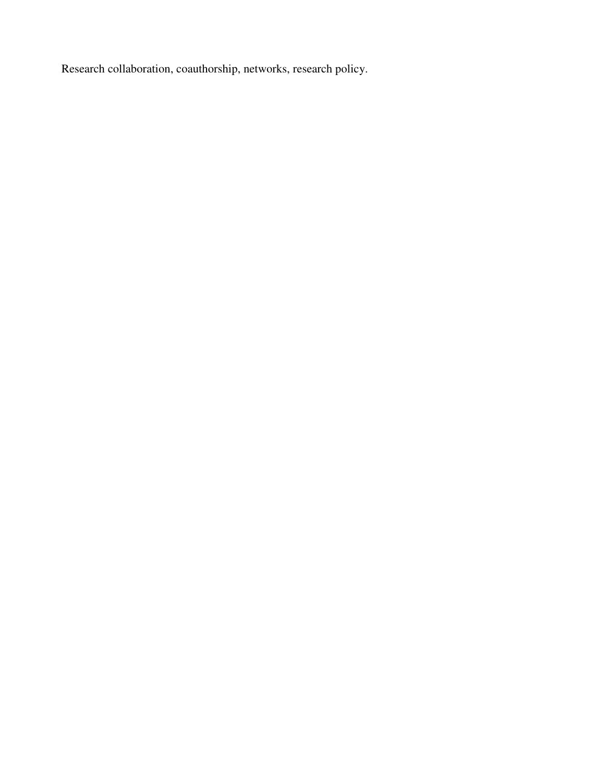Research collaboration, coauthorship, networks, research policy.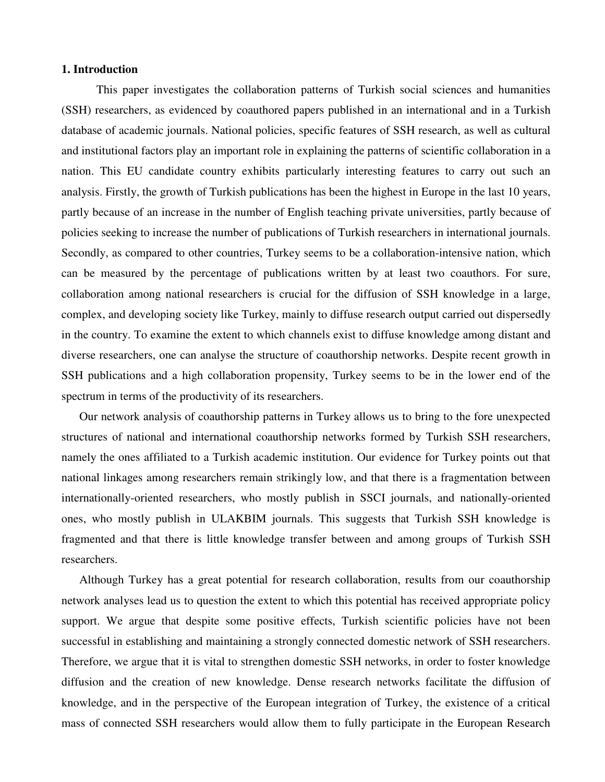#### **1. Introduction**

This paper investigates the collaboration patterns of Turkish social sciences and humanities (SSH) researchers, as evidenced by coauthored papers published in an international and in a Turkish database of academic journals. National policies, specific features of SSH research, as well as cultural and institutional factors play an important role in explaining the patterns of scientific collaboration in a nation. This EU candidate country exhibits particularly interesting features to carry out such an analysis. Firstly, the growth of Turkish publications has been the highest in Europe in the last 10 years, partly because of an increase in the number of English teaching private universities, partly because of policies seeking to increase the number of publications of Turkish researchers in international journals. Secondly, as compared to other countries, Turkey seems to be a collaboration-intensive nation, which can be measured by the percentage of publications written by at least two coauthors. For sure, collaboration among national researchers is crucial for the diffusion of SSH knowledge in a large, complex, and developing society like Turkey, mainly to diffuse research output carried out dispersedly in the country. To examine the extent to which channels exist to diffuse knowledge among distant and diverse researchers, one can analyse the structure of coauthorship networks. Despite recent growth in SSH publications and a high collaboration propensity, Turkey seems to be in the lower end of the spectrum in terms of the productivity of its researchers.

Our network analysis of coauthorship patterns in Turkey allows us to bring to the fore unexpected structures of national and international coauthorship networks formed by Turkish SSH researchers, namely the ones affiliated to a Turkish academic institution. Our evidence for Turkey points out that national linkages among researchers remain strikingly low, and that there is a fragmentation between internationally-oriented researchers, who mostly publish in SSCI journals, and nationally-oriented ones, who mostly publish in ULAKBIM journals. This suggests that Turkish SSH knowledge is fragmented and that there is little knowledge transfer between and among groups of Turkish SSH researchers.

Although Turkey has a great potential for research collaboration, results from our coauthorship network analyses lead us to question the extent to which this potential has received appropriate policy support. We argue that despite some positive effects, Turkish scientific policies have not been successful in establishing and maintaining a strongly connected domestic network of SSH researchers. Therefore, we argue that it is vital to strengthen domestic SSH networks, in order to foster knowledge diffusion and the creation of new knowledge. Dense research networks facilitate the diffusion of knowledge, and in the perspective of the European integration of Turkey, the existence of a critical mass of connected SSH researchers would allow them to fully participate in the European Research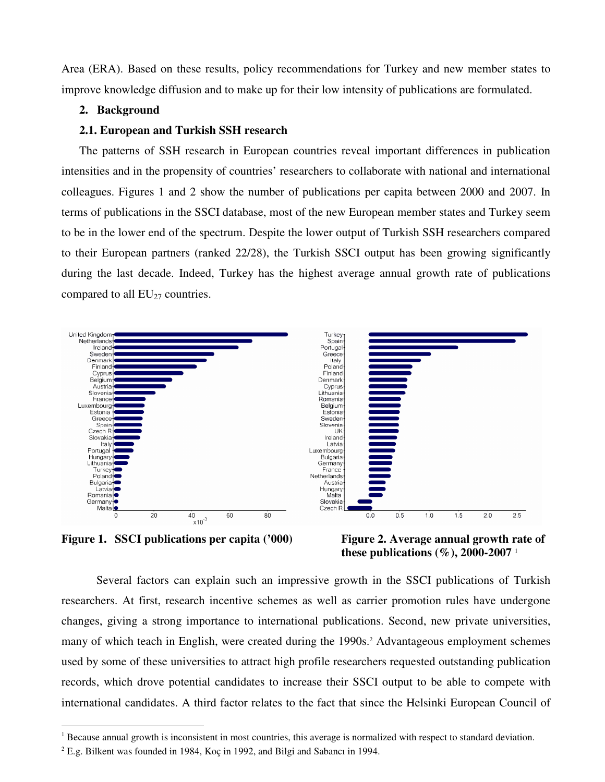Area (ERA). Based on these results, policy recommendations for Turkey and new member states to improve knowledge diffusion and to make up for their low intensity of publications are formulated.

#### **2. Background**

#### **2.1. European and Turkish SSH research**

The patterns of SSH research in European countries reveal important differences in publication intensities and in the propensity of countries' researchers to collaborate with national and international colleagues. Figures 1 and 2 show the number of publications per capita between 2000 and 2007. In terms of publications in the SSCI database, most of the new European member states and Turkey seem to be in the lower end of the spectrum. Despite the lower output of Turkish SSH researchers compared to their European partners (ranked 22/28), the Turkish SSCI output has been growing significantly during the last decade. Indeed, Turkey has the highest average annual growth rate of publications compared to all  $EU_{27}$  countries.



Figure 1. SSCI publications per capita ('000) Figure 2. Average annual growth rate of

 $\overline{a}$ 

 **these publications (%), 2000-2007** <sup>1</sup>

Several factors can explain such an impressive growth in the SSCI publications of Turkish researchers. At first, research incentive schemes as well as carrier promotion rules have undergone changes, giving a strong importance to international publications. Second, new private universities, many of which teach in English, were created during the 1990s.<sup>2</sup> Advantageous employment schemes used by some of these universities to attract high profile researchers requested outstanding publication records, which drove potential candidates to increase their SSCI output to be able to compete with international candidates. A third factor relates to the fact that since the Helsinki European Council of

 $1$  Because annual growth is inconsistent in most countries, this average is normalized with respect to standard deviation.

 $2^2$  E.g. Bilkent was founded in 1984, Koç in 1992, and Bilgi and Sabancı in 1994.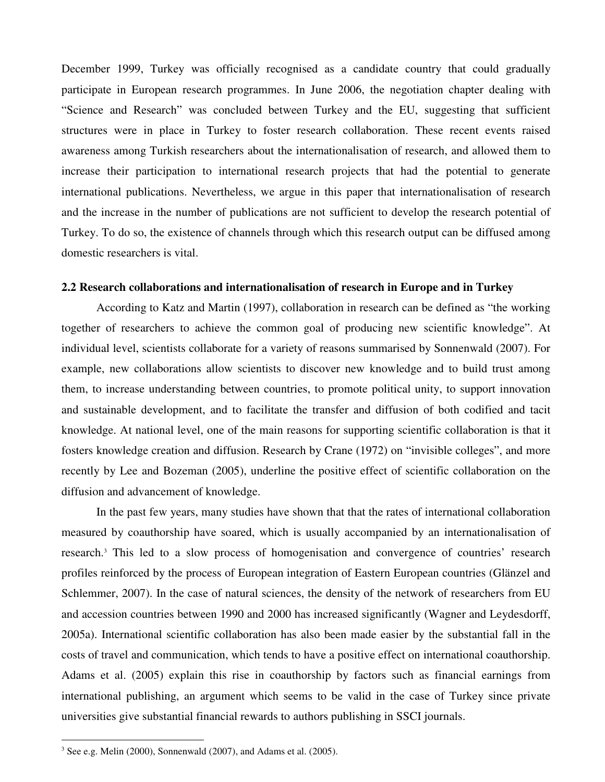December 1999, Turkey was officially recognised as a candidate country that could gradually participate in European research programmes. In June 2006, the negotiation chapter dealing with "Science and Research" was concluded between Turkey and the EU, suggesting that sufficient structures were in place in Turkey to foster research collaboration. These recent events raised awareness among Turkish researchers about the internationalisation of research, and allowed them to increase their participation to international research projects that had the potential to generate international publications. Nevertheless, we argue in this paper that internationalisation of research and the increase in the number of publications are not sufficient to develop the research potential of Turkey. To do so, the existence of channels through which this research output can be diffused among domestic researchers is vital.

#### **2.2 Research collaborations and internationalisation of research in Europe and in Turkey**

According to Katz and Martin (1997), collaboration in research can be defined as "the working together of researchers to achieve the common goal of producing new scientific knowledge". At individual level, scientists collaborate for a variety of reasons summarised by Sonnenwald (2007). For example, new collaborations allow scientists to discover new knowledge and to build trust among them, to increase understanding between countries, to promote political unity, to support innovation and sustainable development, and to facilitate the transfer and diffusion of both codified and tacit knowledge. At national level, one of the main reasons for supporting scientific collaboration is that it fosters knowledge creation and diffusion. Research by Crane (1972) on "invisible colleges", and more recently by Lee and Bozeman (2005), underline the positive effect of scientific collaboration on the diffusion and advancement of knowledge.

In the past few years, many studies have shown that that the rates of international collaboration measured by coauthorship have soared, which is usually accompanied by an internationalisation of research.<sup>3</sup> This led to a slow process of homogenisation and convergence of countries' research profiles reinforced by the process of European integration of Eastern European countries (Glänzel and Schlemmer, 2007). In the case of natural sciences, the density of the network of researchers from EU and accession countries between 1990 and 2000 has increased significantly (Wagner and Leydesdorff, 2005a). International scientific collaboration has also been made easier by the substantial fall in the costs of travel and communication, which tends to have a positive effect on international coauthorship. Adams et al. (2005) explain this rise in coauthorship by factors such as financial earnings from international publishing, an argument which seems to be valid in the case of Turkey since private universities give substantial financial rewards to authors publishing in SSCI journals.

 $3$  See e.g. Melin (2000), Sonnenwald (2007), and Adams et al. (2005).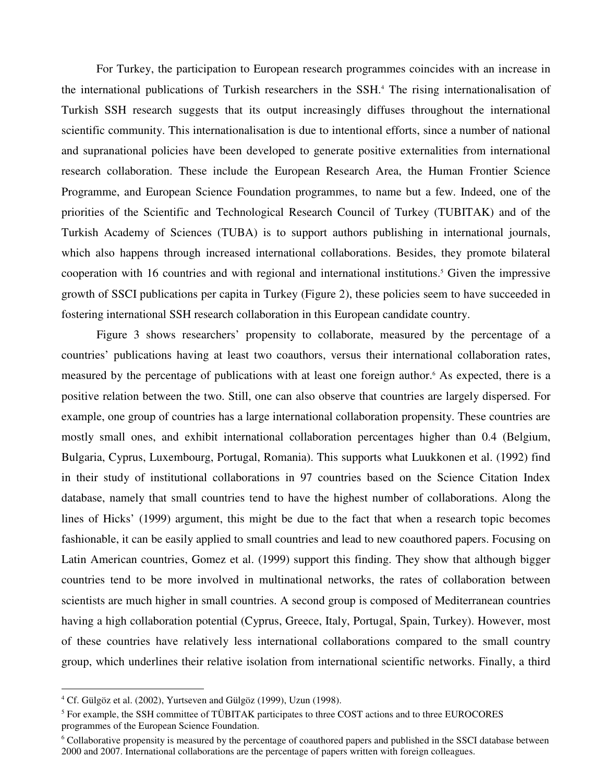For Turkey, the participation to European research programmes coincides with an increase in the international publications of Turkish researchers in the SSH.<sup>4</sup> The rising internationalisation of Turkish SSH research suggests that its output increasingly diffuses throughout the international scientific community. This internationalisation is due to intentional efforts, since a number of national and supranational policies have been developed to generate positive externalities from international research collaboration. These include the European Research Area, the Human Frontier Science Programme, and European Science Foundation programmes, to name but a few. Indeed, one of the priorities of the Scientific and Technological Research Council of Turkey (TUBITAK) and of the Turkish Academy of Sciences (TUBA) is to support authors publishing in international journals, which also happens through increased international collaborations. Besides, they promote bilateral cooperation with 16 countries and with regional and international institutions.<sup>5</sup> Given the impressive growth of SSCI publications per capita in Turkey (Figure 2), these policies seem to have succeeded in fostering international SSH research collaboration in this European candidate country.

Figure 3 shows researchers' propensity to collaborate, measured by the percentage of a countries' publications having at least two coauthors, versus their international collaboration rates, measured by the percentage of publications with at least one foreign author.<sup>6</sup> As expected, there is a positive relation between the two. Still, one can also observe that countries are largely dispersed. For example, one group of countries has a large international collaboration propensity. These countries are mostly small ones, and exhibit international collaboration percentages higher than 0.4 (Belgium, Bulgaria, Cyprus, Luxembourg, Portugal, Romania). This supports what Luukkonen et al. (1992) find in their study of institutional collaborations in 97 countries based on the Science Citation Index database, namely that small countries tend to have the highest number of collaborations. Along the lines of Hicks' (1999) argument, this might be due to the fact that when a research topic becomes fashionable, it can be easily applied to small countries and lead to new coauthored papers. Focusing on Latin American countries, Gomez et al. (1999) support this finding. They show that although bigger countries tend to be more involved in multinational networks, the rates of collaboration between scientists are much higher in small countries. A second group is composed of Mediterranean countries having a high collaboration potential (Cyprus, Greece, Italy, Portugal, Spain, Turkey). However, most of these countries have relatively less international collaborations compared to the small country group, which underlines their relative isolation from international scientific networks. Finally, a third

<sup>4</sup> Cf. Gülgöz et al. (2002), Yurtseven and Gülgöz (1999), Uzun (1998).

<sup>&</sup>lt;sup>5</sup> For example, the SSH committee of TÜBITAK participates to three COST actions and to three EUROCORES programmes of the European Science Foundation.

<sup>&</sup>lt;sup>6</sup> Collaborative propensity is measured by the percentage of coauthored papers and published in the SSCI database between 2000 and 2007. International collaborations are the percentage of papers written with foreign colleagues.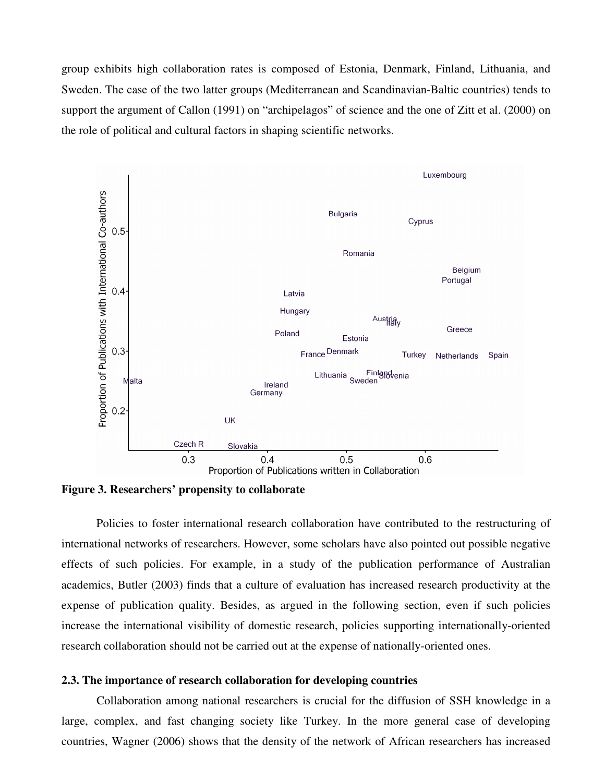group exhibits high collaboration rates is composed of Estonia, Denmark, Finland, Lithuania, and Sweden. The case of the two latter groups (Mediterranean and Scandinavian-Baltic countries) tends to support the argument of Callon (1991) on "archipelagos" of science and the one of Zitt et al. (2000) on the role of political and cultural factors in shaping scientific networks.



**Figure 3. Researchers' propensity to collaborate** 

Policies to foster international research collaboration have contributed to the restructuring of international networks of researchers. However, some scholars have also pointed out possible negative effects of such policies. For example, in a study of the publication performance of Australian academics, Butler (2003) finds that a culture of evaluation has increased research productivity at the expense of publication quality. Besides, as argued in the following section, even if such policies increase the international visibility of domestic research, policies supporting internationally-oriented research collaboration should not be carried out at the expense of nationally-oriented ones.

### **2.3. The importance of research collaboration for developing countries**

Collaboration among national researchers is crucial for the diffusion of SSH knowledge in a large, complex, and fast changing society like Turkey. In the more general case of developing countries, Wagner (2006) shows that the density of the network of African researchers has increased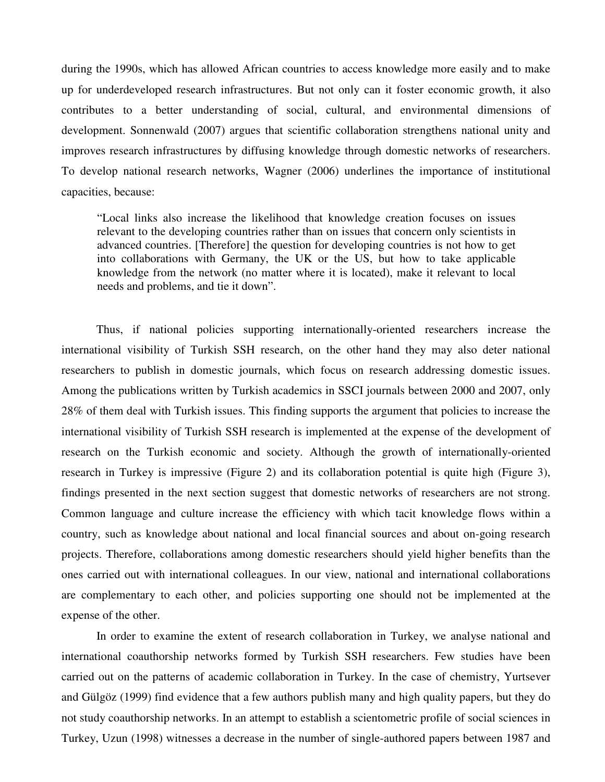during the 1990s, which has allowed African countries to access knowledge more easily and to make up for underdeveloped research infrastructures. But not only can it foster economic growth, it also contributes to a better understanding of social, cultural, and environmental dimensions of development. Sonnenwald (2007) argues that scientific collaboration strengthens national unity and improves research infrastructures by diffusing knowledge through domestic networks of researchers. To develop national research networks, Wagner (2006) underlines the importance of institutional capacities, because:

"Local links also increase the likelihood that knowledge creation focuses on issues relevant to the developing countries rather than on issues that concern only scientists in advanced countries. [Therefore] the question for developing countries is not how to get into collaborations with Germany, the UK or the US, but how to take applicable knowledge from the network (no matter where it is located), make it relevant to local needs and problems, and tie it down".

Thus, if national policies supporting internationally-oriented researchers increase the international visibility of Turkish SSH research, on the other hand they may also deter national researchers to publish in domestic journals, which focus on research addressing domestic issues. Among the publications written by Turkish academics in SSCI journals between 2000 and 2007, only 28% of them deal with Turkish issues. This finding supports the argument that policies to increase the international visibility of Turkish SSH research is implemented at the expense of the development of research on the Turkish economic and society. Although the growth of internationally-oriented research in Turkey is impressive (Figure 2) and its collaboration potential is quite high (Figure 3), findings presented in the next section suggest that domestic networks of researchers are not strong. Common language and culture increase the efficiency with which tacit knowledge flows within a country, such as knowledge about national and local financial sources and about on-going research projects. Therefore, collaborations among domestic researchers should yield higher benefits than the ones carried out with international colleagues. In our view, national and international collaborations are complementary to each other, and policies supporting one should not be implemented at the expense of the other.

In order to examine the extent of research collaboration in Turkey, we analyse national and international coauthorship networks formed by Turkish SSH researchers. Few studies have been carried out on the patterns of academic collaboration in Turkey. In the case of chemistry, Yurtsever and Gülgöz (1999) find evidence that a few authors publish many and high quality papers, but they do not study coauthorship networks. In an attempt to establish a scientometric profile of social sciences in Turkey, Uzun (1998) witnesses a decrease in the number of single-authored papers between 1987 and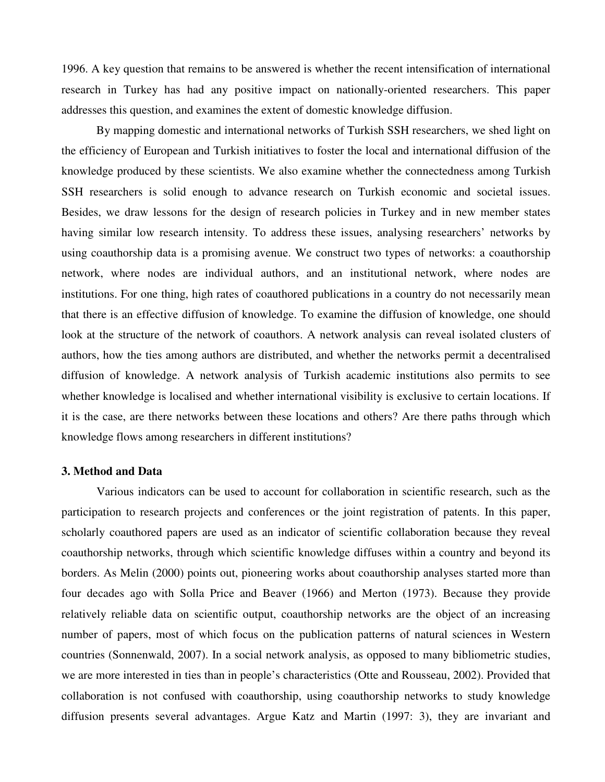1996. A key question that remains to be answered is whether the recent intensification of international research in Turkey has had any positive impact on nationally-oriented researchers. This paper addresses this question, and examines the extent of domestic knowledge diffusion.

By mapping domestic and international networks of Turkish SSH researchers, we shed light on the efficiency of European and Turkish initiatives to foster the local and international diffusion of the knowledge produced by these scientists. We also examine whether the connectedness among Turkish SSH researchers is solid enough to advance research on Turkish economic and societal issues. Besides, we draw lessons for the design of research policies in Turkey and in new member states having similar low research intensity. To address these issues, analysing researchers' networks by using coauthorship data is a promising avenue. We construct two types of networks: a coauthorship network, where nodes are individual authors, and an institutional network, where nodes are institutions. For one thing, high rates of coauthored publications in a country do not necessarily mean that there is an effective diffusion of knowledge. To examine the diffusion of knowledge, one should look at the structure of the network of coauthors. A network analysis can reveal isolated clusters of authors, how the ties among authors are distributed, and whether the networks permit a decentralised diffusion of knowledge. A network analysis of Turkish academic institutions also permits to see whether knowledge is localised and whether international visibility is exclusive to certain locations. If it is the case, are there networks between these locations and others? Are there paths through which knowledge flows among researchers in different institutions?

#### **3. Method and Data**

Various indicators can be used to account for collaboration in scientific research, such as the participation to research projects and conferences or the joint registration of patents. In this paper, scholarly coauthored papers are used as an indicator of scientific collaboration because they reveal coauthorship networks, through which scientific knowledge diffuses within a country and beyond its borders. As Melin (2000) points out, pioneering works about coauthorship analyses started more than four decades ago with Solla Price and Beaver (1966) and Merton (1973). Because they provide relatively reliable data on scientific output, coauthorship networks are the object of an increasing number of papers, most of which focus on the publication patterns of natural sciences in Western countries (Sonnenwald, 2007). In a social network analysis, as opposed to many bibliometric studies, we are more interested in ties than in people's characteristics (Otte and Rousseau, 2002). Provided that collaboration is not confused with coauthorship, using coauthorship networks to study knowledge diffusion presents several advantages. Argue Katz and Martin (1997: 3), they are invariant and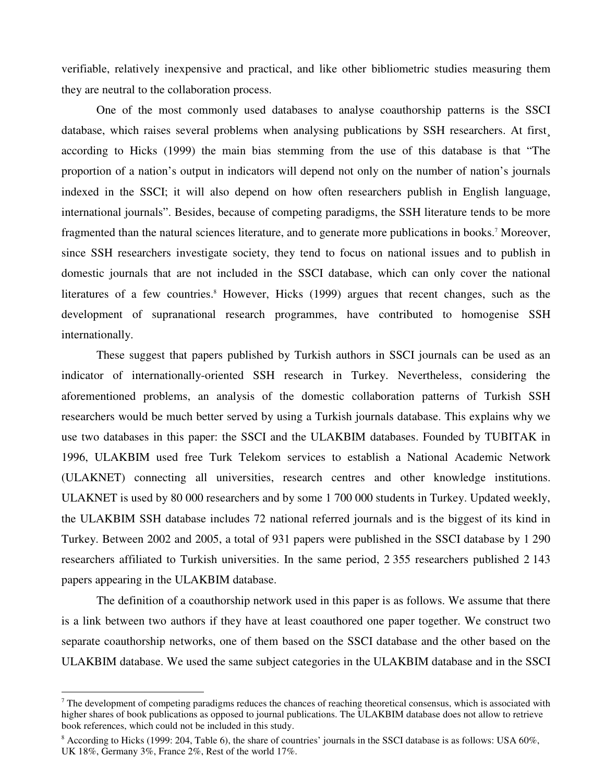verifiable, relatively inexpensive and practical, and like other bibliometric studies measuring them they are neutral to the collaboration process.

One of the most commonly used databases to analyse coauthorship patterns is the SSCI database, which raises several problems when analysing publications by SSH researchers. At first according to Hicks (1999) the main bias stemming from the use of this database is that "The proportion of a nation's output in indicators will depend not only on the number of nation's journals indexed in the SSCI; it will also depend on how often researchers publish in English language, international journals". Besides, because of competing paradigms, the SSH literature tends to be more fragmented than the natural sciences literature, and to generate more publications in books.<sup>7</sup> Moreover, since SSH researchers investigate society, they tend to focus on national issues and to publish in domestic journals that are not included in the SSCI database, which can only cover the national literatures of a few countries.<sup>8</sup> However, Hicks (1999) argues that recent changes, such as the development of supranational research programmes, have contributed to homogenise SSH internationally.

These suggest that papers published by Turkish authors in SSCI journals can be used as an indicator of internationally-oriented SSH research in Turkey. Nevertheless, considering the aforementioned problems, an analysis of the domestic collaboration patterns of Turkish SSH researchers would be much better served by using a Turkish journals database. This explains why we use two databases in this paper: the SSCI and the ULAKBIM databases. Founded by TUBITAK in 1996, ULAKBIM used free Turk Telekom services to establish a National Academic Network (ULAKNET) connecting all universities, research centres and other knowledge institutions. ULAKNET is used by 80 000 researchers and by some 1 700 000 students in Turkey. Updated weekly, the ULAKBIM SSH database includes 72 national referred journals and is the biggest of its kind in Turkey. Between 2002 and 2005, a total of 931 papers were published in the SSCI database by 1 290 researchers affiliated to Turkish universities. In the same period, 2 355 researchers published 2 143 papers appearing in the ULAKBIM database.

The definition of a coauthorship network used in this paper is as follows. We assume that there is a link between two authors if they have at least coauthored one paper together. We construct two separate coauthorship networks, one of them based on the SSCI database and the other based on the ULAKBIM database. We used the same subject categories in the ULAKBIM database and in the SSCI

 $7$  The development of competing paradigms reduces the chances of reaching theoretical consensus, which is associated with higher shares of book publications as opposed to journal publications. The ULAKBIM database does not allow to retrieve book references, which could not be included in this study.

<sup>&</sup>lt;sup>8</sup> According to Hicks (1999: 204, Table 6), the share of countries' journals in the SSCI database is as follows: USA 60%, UK 18%, Germany 3%, France 2%, Rest of the world 17%.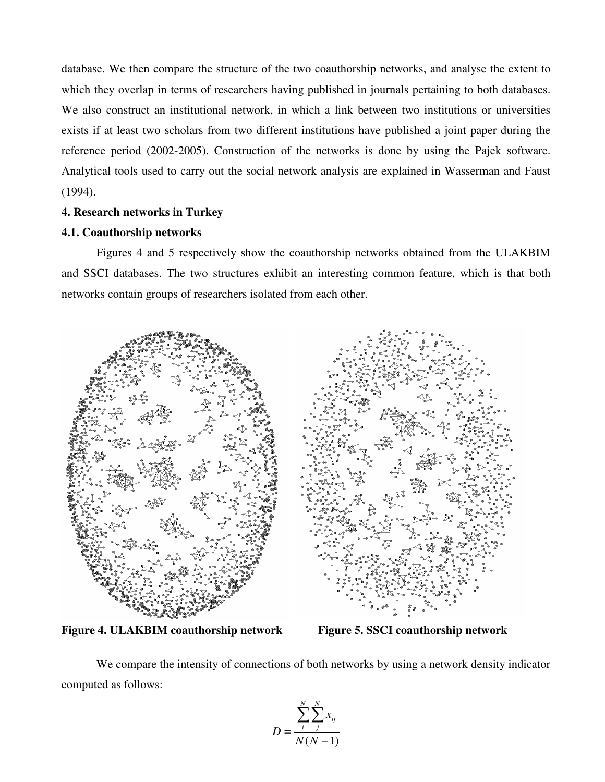database. We then compare the structure of the two coauthorship networks, and analyse the extent to which they overlap in terms of researchers having published in journals pertaining to both databases. We also construct an institutional network, in which a link between two institutions or universities exists if at least two scholars from two different institutions have published a joint paper during the reference period (2002-2005). Construction of the networks is done by using the Pajek software. Analytical tools used to carry out the social network analysis are explained in Wasserman and Faust (1994).

## **4. Research networks in Turkey**

## **4.1. Coauthorship networks**

Figures 4 and 5 respectively show the coauthorship networks obtained from the ULAKBIM and SSCI databases. The two structures exhibit an interesting common feature, which is that both networks contain groups of researchers isolated from each other.



**Figure 4. ULAKBIM coauthorship network Figure 5. SSCI coauthorship network** 

We compare the intensity of connections of both networks by using a network density indicator computed as follows:

$$
D = \frac{\sum_{i}^{N} \sum_{j}^{N} x_{ij}}{N(N-1)}
$$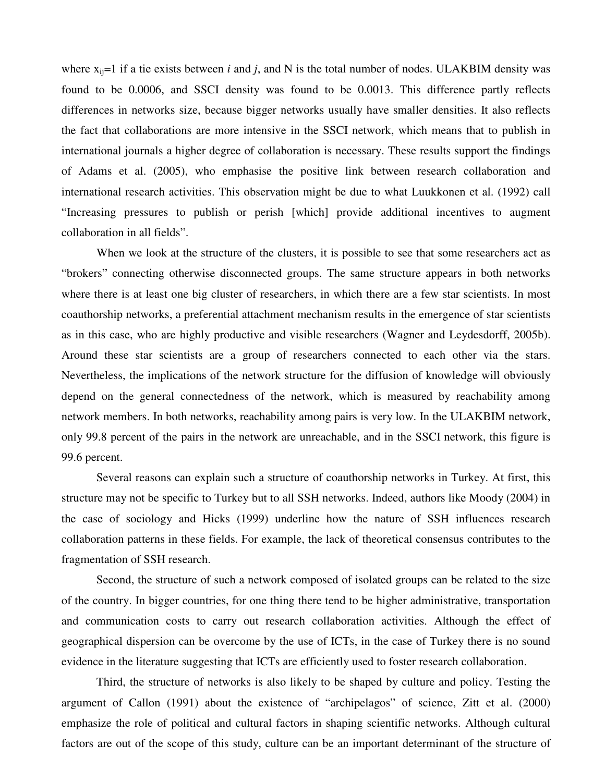where  $x_{ii}=1$  if a tie exists between *i* and *j*, and N is the total number of nodes. ULAKBIM density was found to be 0.0006, and SSCI density was found to be 0.0013. This difference partly reflects differences in networks size, because bigger networks usually have smaller densities. It also reflects the fact that collaborations are more intensive in the SSCI network, which means that to publish in international journals a higher degree of collaboration is necessary. These results support the findings of Adams et al. (2005), who emphasise the positive link between research collaboration and international research activities. This observation might be due to what Luukkonen et al. (1992) call "Increasing pressures to publish or perish [which] provide additional incentives to augment collaboration in all fields".

When we look at the structure of the clusters, it is possible to see that some researchers act as "brokers" connecting otherwise disconnected groups. The same structure appears in both networks where there is at least one big cluster of researchers, in which there are a few star scientists. In most coauthorship networks, a preferential attachment mechanism results in the emergence of star scientists as in this case, who are highly productive and visible researchers (Wagner and Leydesdorff, 2005b). Around these star scientists are a group of researchers connected to each other via the stars. Nevertheless, the implications of the network structure for the diffusion of knowledge will obviously depend on the general connectedness of the network, which is measured by reachability among network members. In both networks, reachability among pairs is very low. In the ULAKBIM network, only 99.8 percent of the pairs in the network are unreachable, and in the SSCI network, this figure is 99.6 percent.

Several reasons can explain such a structure of coauthorship networks in Turkey. At first, this structure may not be specific to Turkey but to all SSH networks. Indeed, authors like Moody (2004) in the case of sociology and Hicks (1999) underline how the nature of SSH influences research collaboration patterns in these fields. For example, the lack of theoretical consensus contributes to the fragmentation of SSH research.

Second, the structure of such a network composed of isolated groups can be related to the size of the country. In bigger countries, for one thing there tend to be higher administrative, transportation and communication costs to carry out research collaboration activities. Although the effect of geographical dispersion can be overcome by the use of ICTs, in the case of Turkey there is no sound evidence in the literature suggesting that ICTs are efficiently used to foster research collaboration.

Third, the structure of networks is also likely to be shaped by culture and policy. Testing the argument of Callon (1991) about the existence of "archipelagos" of science, Zitt et al. (2000) emphasize the role of political and cultural factors in shaping scientific networks. Although cultural factors are out of the scope of this study, culture can be an important determinant of the structure of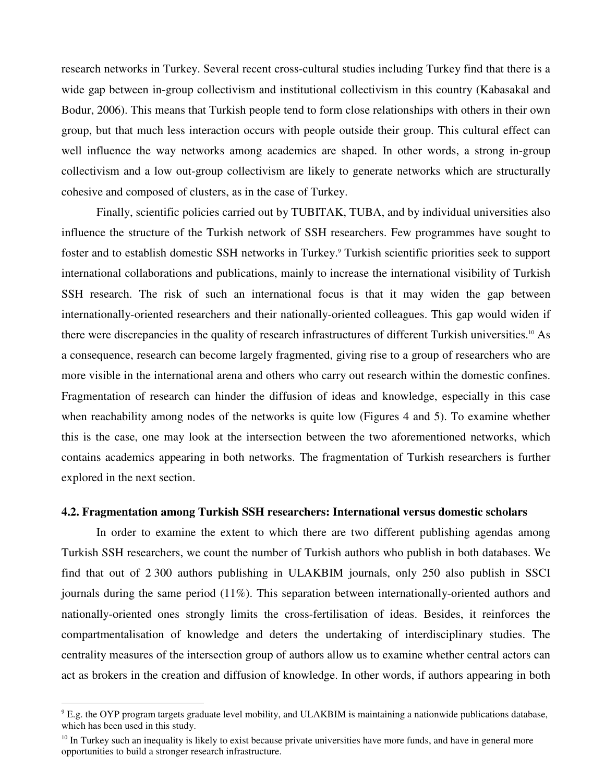research networks in Turkey. Several recent cross-cultural studies including Turkey find that there is a wide gap between in-group collectivism and institutional collectivism in this country (Kabasakal and Bodur, 2006). This means that Turkish people tend to form close relationships with others in their own group, but that much less interaction occurs with people outside their group. This cultural effect can well influence the way networks among academics are shaped. In other words, a strong in-group collectivism and a low out-group collectivism are likely to generate networks which are structurally cohesive and composed of clusters, as in the case of Turkey.

Finally, scientific policies carried out by TUBITAK, TUBA, and by individual universities also influence the structure of the Turkish network of SSH researchers. Few programmes have sought to foster and to establish domestic SSH networks in Turkey.<sup>9</sup> Turkish scientific priorities seek to support international collaborations and publications, mainly to increase the international visibility of Turkish SSH research. The risk of such an international focus is that it may widen the gap between internationally-oriented researchers and their nationally-oriented colleagues. This gap would widen if there were discrepancies in the quality of research infrastructures of different Turkish universities.10 As a consequence, research can become largely fragmented, giving rise to a group of researchers who are more visible in the international arena and others who carry out research within the domestic confines. Fragmentation of research can hinder the diffusion of ideas and knowledge, especially in this case when reachability among nodes of the networks is quite low (Figures 4 and 5). To examine whether this is the case, one may look at the intersection between the two aforementioned networks, which contains academics appearing in both networks. The fragmentation of Turkish researchers is further explored in the next section.

#### **4.2. Fragmentation among Turkish SSH researchers: International versus domestic scholars**

In order to examine the extent to which there are two different publishing agendas among Turkish SSH researchers, we count the number of Turkish authors who publish in both databases. We find that out of 2 300 authors publishing in ULAKBIM journals, only 250 also publish in SSCI journals during the same period (11%). This separation between internationally-oriented authors and nationally-oriented ones strongly limits the cross-fertilisation of ideas. Besides, it reinforces the compartmentalisation of knowledge and deters the undertaking of interdisciplinary studies. The centrality measures of the intersection group of authors allow us to examine whether central actors can act as brokers in the creation and diffusion of knowledge. In other words, if authors appearing in both

 $9$  E.g. the OYP program targets graduate level mobility, and ULAKBIM is maintaining a nationwide publications database, which has been used in this study.

 $10$  In Turkey such an inequality is likely to exist because private universities have more funds, and have in general more opportunities to build a stronger research infrastructure.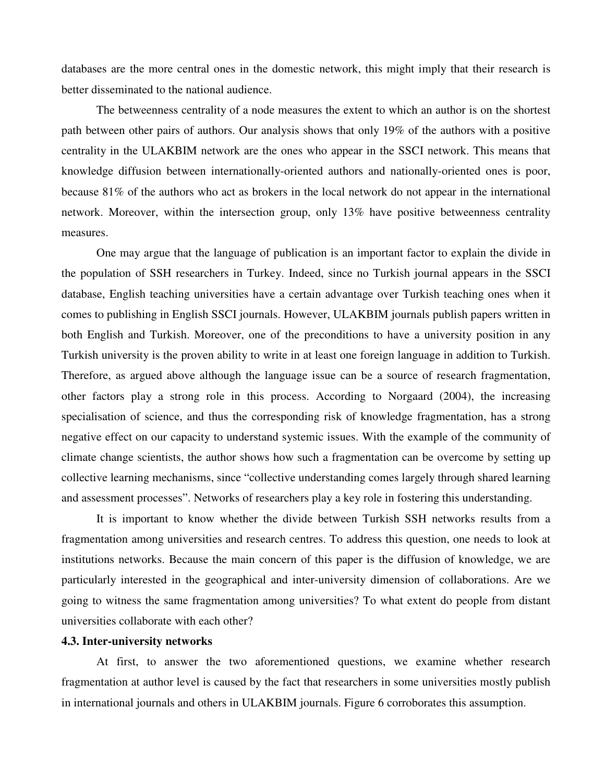databases are the more central ones in the domestic network, this might imply that their research is better disseminated to the national audience.

The betweenness centrality of a node measures the extent to which an author is on the shortest path between other pairs of authors. Our analysis shows that only 19% of the authors with a positive centrality in the ULAKBIM network are the ones who appear in the SSCI network. This means that knowledge diffusion between internationally-oriented authors and nationally-oriented ones is poor, because 81% of the authors who act as brokers in the local network do not appear in the international network. Moreover, within the intersection group, only 13% have positive betweenness centrality measures.

One may argue that the language of publication is an important factor to explain the divide in the population of SSH researchers in Turkey. Indeed, since no Turkish journal appears in the SSCI database, English teaching universities have a certain advantage over Turkish teaching ones when it comes to publishing in English SSCI journals. However, ULAKBIM journals publish papers written in both English and Turkish. Moreover, one of the preconditions to have a university position in any Turkish university is the proven ability to write in at least one foreign language in addition to Turkish. Therefore, as argued above although the language issue can be a source of research fragmentation, other factors play a strong role in this process. According to Norgaard (2004), the increasing specialisation of science, and thus the corresponding risk of knowledge fragmentation, has a strong negative effect on our capacity to understand systemic issues. With the example of the community of climate change scientists, the author shows how such a fragmentation can be overcome by setting up collective learning mechanisms, since "collective understanding comes largely through shared learning and assessment processes". Networks of researchers play a key role in fostering this understanding.

It is important to know whether the divide between Turkish SSH networks results from a fragmentation among universities and research centres. To address this question, one needs to look at institutions networks. Because the main concern of this paper is the diffusion of knowledge, we are particularly interested in the geographical and inter-university dimension of collaborations. Are we going to witness the same fragmentation among universities? To what extent do people from distant universities collaborate with each other?

#### **4.3. Inter-university networks**

At first, to answer the two aforementioned questions, we examine whether research fragmentation at author level is caused by the fact that researchers in some universities mostly publish in international journals and others in ULAKBIM journals. Figure 6 corroborates this assumption.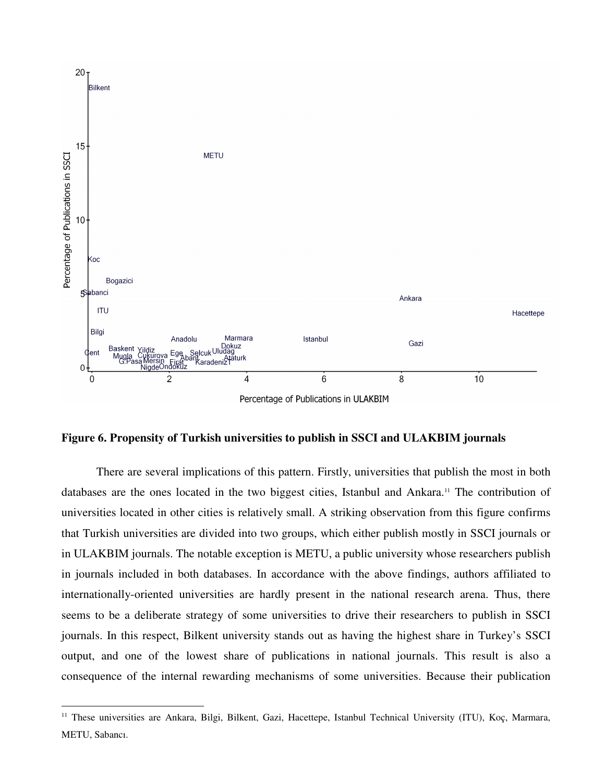

#### **Figure 6. Propensity of Turkish universities to publish in SSCI and ULAKBIM journals**

There are several implications of this pattern. Firstly, universities that publish the most in both databases are the ones located in the two biggest cities, Istanbul and Ankara.11 The contribution of universities located in other cities is relatively small. A striking observation from this figure confirms that Turkish universities are divided into two groups, which either publish mostly in SSCI journals or in ULAKBIM journals. The notable exception is METU, a public university whose researchers publish in journals included in both databases. In accordance with the above findings, authors affiliated to internationally-oriented universities are hardly present in the national research arena. Thus, there seems to be a deliberate strategy of some universities to drive their researchers to publish in SSCI journals. In this respect, Bilkent university stands out as having the highest share in Turkey's SSCI output, and one of the lowest share of publications in national journals. This result is also a consequence of the internal rewarding mechanisms of some universities. Because their publication

<sup>&</sup>lt;sup>11</sup> These universities are Ankara, Bilgi, Bilkent, Gazi, Hacettepe, Istanbul Technical University (ITU), Koç, Marmara, METU, Sabancı.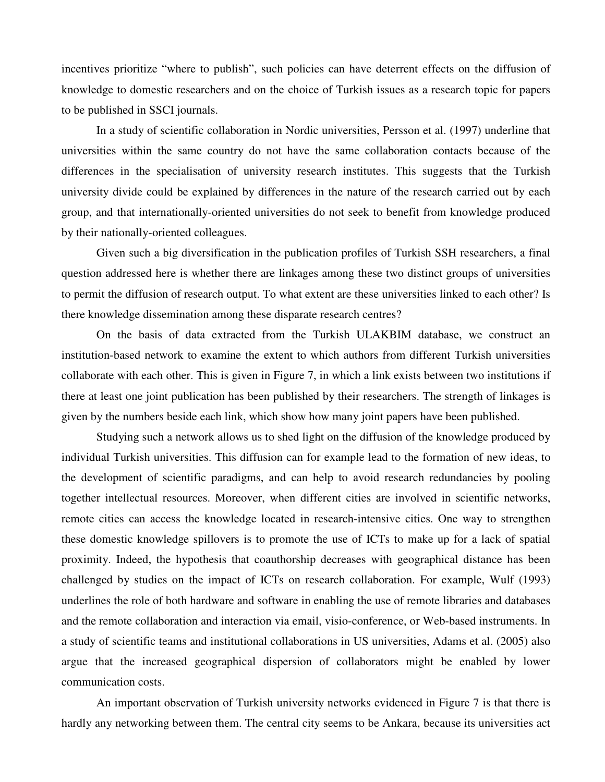incentives prioritize "where to publish", such policies can have deterrent effects on the diffusion of knowledge to domestic researchers and on the choice of Turkish issues as a research topic for papers to be published in SSCI journals.

In a study of scientific collaboration in Nordic universities, Persson et al. (1997) underline that universities within the same country do not have the same collaboration contacts because of the differences in the specialisation of university research institutes. This suggests that the Turkish university divide could be explained by differences in the nature of the research carried out by each group, and that internationally-oriented universities do not seek to benefit from knowledge produced by their nationally-oriented colleagues.

Given such a big diversification in the publication profiles of Turkish SSH researchers, a final question addressed here is whether there are linkages among these two distinct groups of universities to permit the diffusion of research output. To what extent are these universities linked to each other? Is there knowledge dissemination among these disparate research centres?

On the basis of data extracted from the Turkish ULAKBIM database, we construct an institution-based network to examine the extent to which authors from different Turkish universities collaborate with each other. This is given in Figure 7, in which a link exists between two institutions if there at least one joint publication has been published by their researchers. The strength of linkages is given by the numbers beside each link, which show how many joint papers have been published.

Studying such a network allows us to shed light on the diffusion of the knowledge produced by individual Turkish universities. This diffusion can for example lead to the formation of new ideas, to the development of scientific paradigms, and can help to avoid research redundancies by pooling together intellectual resources. Moreover, when different cities are involved in scientific networks, remote cities can access the knowledge located in research-intensive cities. One way to strengthen these domestic knowledge spillovers is to promote the use of ICTs to make up for a lack of spatial proximity. Indeed, the hypothesis that coauthorship decreases with geographical distance has been challenged by studies on the impact of ICTs on research collaboration. For example, Wulf (1993) underlines the role of both hardware and software in enabling the use of remote libraries and databases and the remote collaboration and interaction via email, visio-conference, or Web-based instruments. In a study of scientific teams and institutional collaborations in US universities, Adams et al. (2005) also argue that the increased geographical dispersion of collaborators might be enabled by lower communication costs.

An important observation of Turkish university networks evidenced in Figure 7 is that there is hardly any networking between them. The central city seems to be Ankara, because its universities act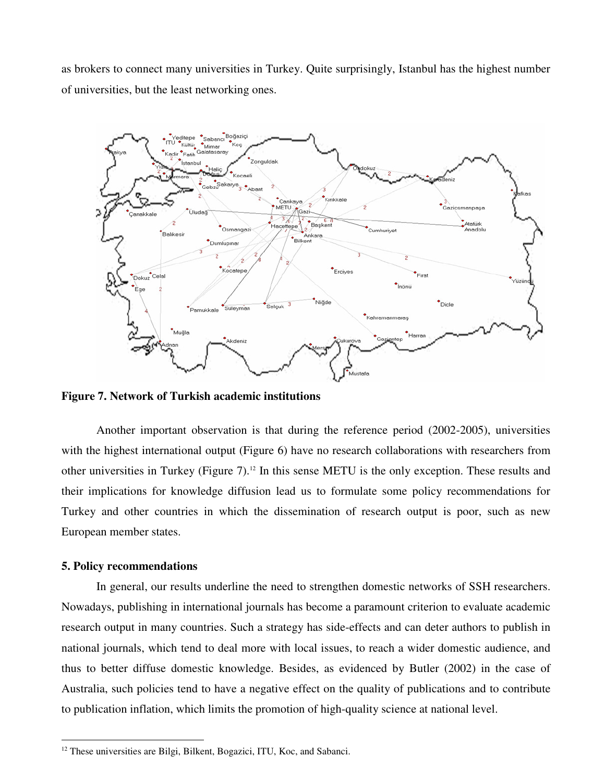as brokers to connect many universities in Turkey. Quite surprisingly, Istanbul has the highest number of universities, but the least networking ones.



**Figure 7. Network of Turkish academic institutions** 

Another important observation is that during the reference period (2002-2005), universities with the highest international output (Figure 6) have no research collaborations with researchers from other universities in Turkey (Figure 7).<sup>12</sup> In this sense METU is the only exception. These results and their implications for knowledge diffusion lead us to formulate some policy recommendations for Turkey and other countries in which the dissemination of research output is poor, such as new European member states.

#### **5. Policy recommendations**

 $\overline{a}$ 

In general, our results underline the need to strengthen domestic networks of SSH researchers. Nowadays, publishing in international journals has become a paramount criterion to evaluate academic research output in many countries. Such a strategy has side-effects and can deter authors to publish in national journals, which tend to deal more with local issues, to reach a wider domestic audience, and thus to better diffuse domestic knowledge. Besides, as evidenced by Butler (2002) in the case of Australia, such policies tend to have a negative effect on the quality of publications and to contribute to publication inflation, which limits the promotion of high-quality science at national level.

 $12$  These universities are Bilgi, Bilkent, Bogazici, ITU, Koc, and Sabanci.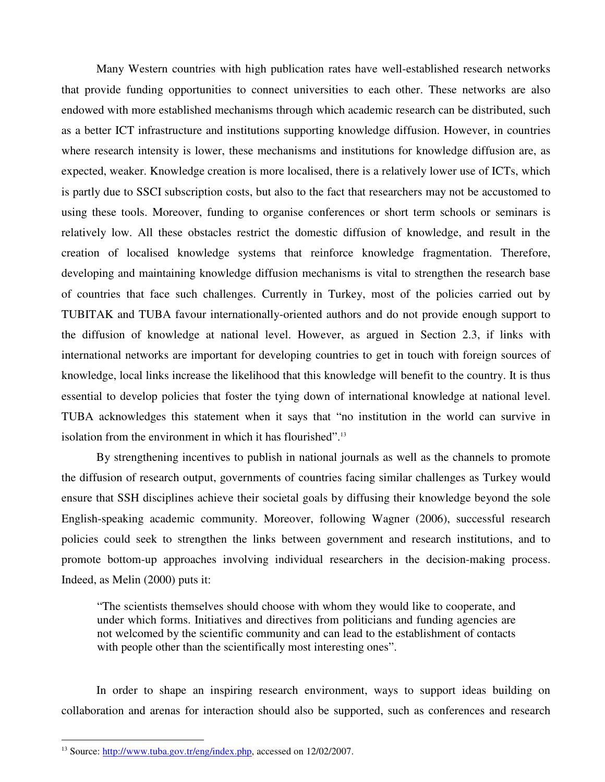Many Western countries with high publication rates have well-established research networks that provide funding opportunities to connect universities to each other. These networks are also endowed with more established mechanisms through which academic research can be distributed, such as a better ICT infrastructure and institutions supporting knowledge diffusion. However, in countries where research intensity is lower, these mechanisms and institutions for knowledge diffusion are, as expected, weaker. Knowledge creation is more localised, there is a relatively lower use of ICTs, which is partly due to SSCI subscription costs, but also to the fact that researchers may not be accustomed to using these tools. Moreover, funding to organise conferences or short term schools or seminars is relatively low. All these obstacles restrict the domestic diffusion of knowledge, and result in the creation of localised knowledge systems that reinforce knowledge fragmentation. Therefore, developing and maintaining knowledge diffusion mechanisms is vital to strengthen the research base of countries that face such challenges. Currently in Turkey, most of the policies carried out by TUBITAK and TUBA favour internationally-oriented authors and do not provide enough support to the diffusion of knowledge at national level. However, as argued in Section 2.3, if links with international networks are important for developing countries to get in touch with foreign sources of knowledge, local links increase the likelihood that this knowledge will benefit to the country. It is thus essential to develop policies that foster the tying down of international knowledge at national level. TUBA acknowledges this statement when it says that "no institution in the world can survive in isolation from the environment in which it has flourished".<sup>13</sup>

By strengthening incentives to publish in national journals as well as the channels to promote the diffusion of research output, governments of countries facing similar challenges as Turkey would ensure that SSH disciplines achieve their societal goals by diffusing their knowledge beyond the sole English-speaking academic community. Moreover, following Wagner (2006), successful research policies could seek to strengthen the links between government and research institutions, and to promote bottom-up approaches involving individual researchers in the decision-making process. Indeed, as Melin (2000) puts it:

"The scientists themselves should choose with whom they would like to cooperate, and under which forms. Initiatives and directives from politicians and funding agencies are not welcomed by the scientific community and can lead to the establishment of contacts with people other than the scientifically most interesting ones".

In order to shape an inspiring research environment, ways to support ideas building on collaboration and arenas for interaction should also be supported, such as conferences and research

<sup>&</sup>lt;sup>13</sup> Source: http://www.tuba.gov.tr/eng/index.php, accessed on 12/02/2007.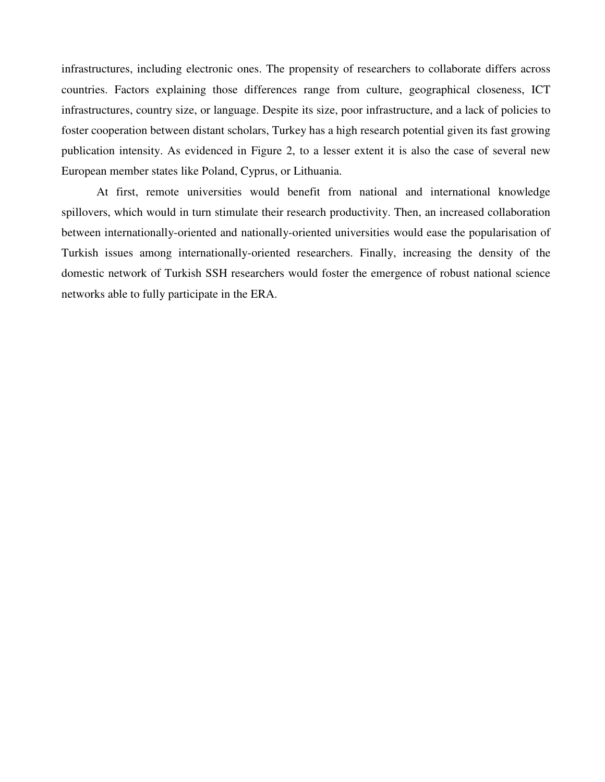infrastructures, including electronic ones. The propensity of researchers to collaborate differs across countries. Factors explaining those differences range from culture, geographical closeness, ICT infrastructures, country size, or language. Despite its size, poor infrastructure, and a lack of policies to foster cooperation between distant scholars, Turkey has a high research potential given its fast growing publication intensity. As evidenced in Figure 2, to a lesser extent it is also the case of several new European member states like Poland, Cyprus, or Lithuania.

At first, remote universities would benefit from national and international knowledge spillovers, which would in turn stimulate their research productivity. Then, an increased collaboration between internationally-oriented and nationally-oriented universities would ease the popularisation of Turkish issues among internationally-oriented researchers. Finally, increasing the density of the domestic network of Turkish SSH researchers would foster the emergence of robust national science networks able to fully participate in the ERA.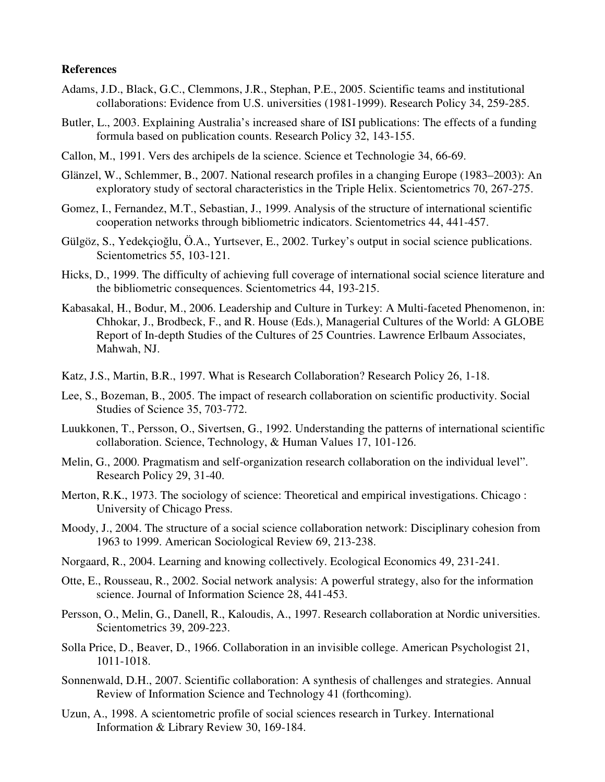#### **References**

- Adams, J.D., Black, G.C., Clemmons, J.R., Stephan, P.E., 2005. Scientific teams and institutional collaborations: Evidence from U.S. universities (1981-1999). Research Policy 34, 259-285.
- Butler, L., 2003. Explaining Australia's increased share of ISI publications: The effects of a funding formula based on publication counts. Research Policy 32, 143-155.
- Callon, M., 1991. Vers des archipels de la science. Science et Technologie 34, 66-69.
- Glänzel, W., Schlemmer, B., 2007. National research profiles in a changing Europe (1983–2003): An exploratory study of sectoral characteristics in the Triple Helix. Scientometrics 70, 267-275.
- Gomez, I., Fernandez, M.T., Sebastian, J., 1999. Analysis of the structure of international scientific cooperation networks through bibliometric indicators. Scientometrics 44, 441-457.
- Gülgöz, S., Yedekçioğlu, Ö.A., Yurtsever, E., 2002. Turkey's output in social science publications. Scientometrics 55, 103-121.
- Hicks, D., 1999. The difficulty of achieving full coverage of international social science literature and the bibliometric consequences. Scientometrics 44, 193-215.
- Kabasakal, H., Bodur, M., 2006. Leadership and Culture in Turkey: A Multi-faceted Phenomenon, in: Chhokar, J., Brodbeck, F., and R. House (Eds.), Managerial Cultures of the World: A GLOBE Report of In-depth Studies of the Cultures of 25 Countries. Lawrence Erlbaum Associates, Mahwah, NJ.
- Katz, J.S., Martin, B.R., 1997. What is Research Collaboration? Research Policy 26, 1-18.
- Lee, S., Bozeman, B., 2005. The impact of research collaboration on scientific productivity. Social Studies of Science 35, 703-772.
- Luukkonen, T., Persson, O., Sivertsen, G., 1992. Understanding the patterns of international scientific collaboration. Science, Technology, & Human Values 17, 101-126.
- Melin, G., 2000. Pragmatism and self-organization research collaboration on the individual level". Research Policy 29, 31-40.
- Merton, R.K., 1973. The sociology of science: Theoretical and empirical investigations. Chicago : University of Chicago Press.
- Moody, J., 2004. The structure of a social science collaboration network: Disciplinary cohesion from 1963 to 1999. American Sociological Review 69, 213-238.
- Norgaard, R., 2004. Learning and knowing collectively. Ecological Economics 49, 231-241.
- Otte, E., Rousseau, R., 2002. Social network analysis: A powerful strategy, also for the information science. Journal of Information Science 28, 441-453.
- Persson, O., Melin, G., Danell, R., Kaloudis, A., 1997. Research collaboration at Nordic universities. Scientometrics 39, 209-223.
- Solla Price, D., Beaver, D., 1966. Collaboration in an invisible college. American Psychologist 21, 1011-1018.
- Sonnenwald, D.H., 2007. Scientific collaboration: A synthesis of challenges and strategies. Annual Review of Information Science and Technology 41 (forthcoming).
- Uzun, A., 1998. A scientometric profile of social sciences research in Turkey. International Information & Library Review 30, 169-184.